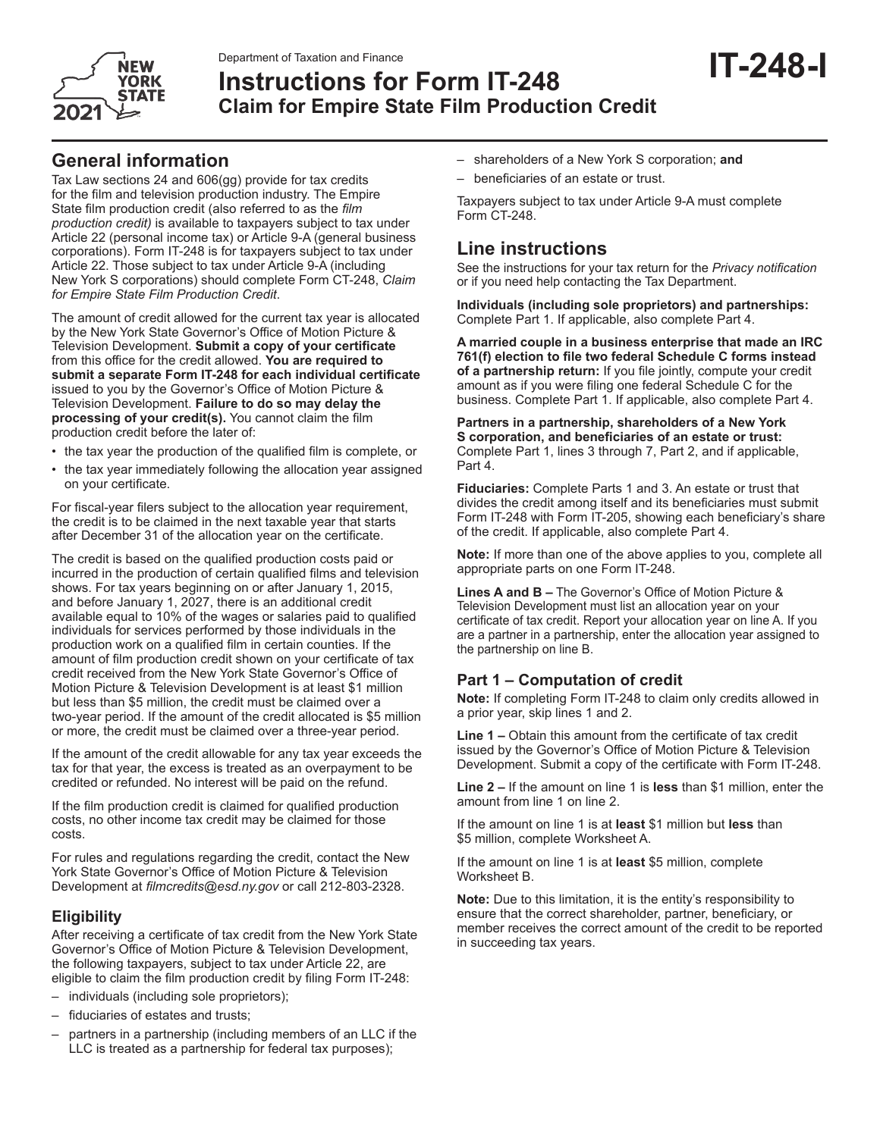

# **Instructions for Form IT-248 Claim for Empire State Film Production Credit**

Tax Law sections 24 and 606(gg) provide for tax credits for the film and television production industry. The Empire State film production credit (also referred to as the *film production credit)* is available to taxpayers subject to tax under Article 22 (personal income tax) or Article 9-A (general business corporations). Form IT-248 is for taxpayers subject to tax under Article 22. Those subject to tax under Article 9-A (including New York S corporations) should complete Form CT-248, *Claim for Empire State Film Production Credit*.

The amount of credit allowed for the current tax year is allocated by the New York State Governor's Office of Motion Picture & Television Development. **Submit a copy of your certificate** from this office for the credit allowed. **You are required to submit a separate Form IT-248 for each individual certificate** issued to you by the Governor's Office of Motion Picture & Television Development. **Failure to do so may delay the processing of your credit(s).** You cannot claim the film production credit before the later of:

- the tax year the production of the qualified film is complete, or
- the tax year immediately following the allocation year assigned on your certificate.

For fiscal-year filers subject to the allocation year requirement, the credit is to be claimed in the next taxable year that starts after December 31 of the allocation year on the certificate.

The credit is based on the qualified production costs paid or incurred in the production of certain qualified films and television shows. For tax years beginning on or after January 1, 2015, and before January 1, 2027, there is an additional credit available equal to 10% of the wages or salaries paid to qualified individuals for services performed by those individuals in the production work on a qualified film in certain counties. If the amount of film production credit shown on your certificate of tax credit received from the New York State Governor's Office of Motion Picture & Television Development is at least \$1 million but less than \$5 million, the credit must be claimed over a two-year period. If the amount of the credit allocated is \$5 million or more, the credit must be claimed over a three-year period.

If the amount of the credit allowable for any tax year exceeds the tax for that year, the excess is treated as an overpayment to be credited or refunded. No interest will be paid on the refund.

If the film production credit is claimed for qualified production costs, no other income tax credit may be claimed for those costs.

For rules and regulations regarding the credit, contact the New York State Governor's Office of Motion Picture & Television Development at *filmcredits@esd.ny.gov* or call 212-803-2328.

## **Eligibility**

After receiving a certificate of tax credit from the New York State Governor's Office of Motion Picture & Television Development, the following taxpayers, subject to tax under Article 22, are eligible to claim the film production credit by filing Form IT-248:

- individuals (including sole proprietors);
- fiduciaries of estates and trusts;
- partners in a partnership (including members of an LLC if the LLC is treated as a partnership for federal tax purposes);
- shareholders of a New York S corporation; **and**
- beneficiaries of an estate or trust.

Taxpayers subject to tax under Article 9-A must complete Form CT-248.

# **Line instructions**

See the instructions for your tax return for the *Privacy notification*  or if you need help contacting the Tax Department.

**IT-248-I**

**Individuals (including sole proprietors) and partnerships:** Complete Part 1. If applicable, also complete Part 4.

**A married couple in a business enterprise that made an IRC 761(f) election to file two federal Schedule C forms instead of a partnership return:** If you file jointly, compute your credit amount as if you were filing one federal Schedule C for the business. Complete Part 1. If applicable, also complete Part 4.

#### **Partners in a partnership, shareholders of a New York S corporation, and beneficiaries of an estate or trust:**  Complete Part 1, lines 3 through 7, Part 2, and if applicable, Part 4.

**Fiduciaries:** Complete Parts 1 and 3. An estate or trust that divides the credit among itself and its beneficiaries must submit Form IT-248 with Form IT-205, showing each beneficiary's share of the credit. If applicable, also complete Part 4.

**Note:** If more than one of the above applies to you, complete all appropriate parts on one Form IT-248.

**Lines A and B –** The Governor's Office of Motion Picture & Television Development must list an allocation year on your certificate of tax credit. Report your allocation year on line A. If you are a partner in a partnership, enter the allocation year assigned to the partnership on line B.

## **Part 1 – Computation of credit**

**Note:** If completing Form IT-248 to claim only credits allowed in a prior year, skip lines 1 and 2.

**Line 1 –** Obtain this amount from the certificate of tax credit issued by the Governor's Office of Motion Picture & Television Development. Submit a copy of the certificate with Form IT-248.

**Line 2 –** If the amount on line 1 is **less** than \$1 million, enter the amount from line 1 on line 2.

If the amount on line 1 is at **least** \$1 million but **less** than \$5 million, complete Worksheet A.

If the amount on line 1 is at **least** \$5 million, complete Worksheet B.

**Note:** Due to this limitation, it is the entity's responsibility to ensure that the correct shareholder, partner, beneficiary, or member receives the correct amount of the credit to be reported in succeeding tax years.